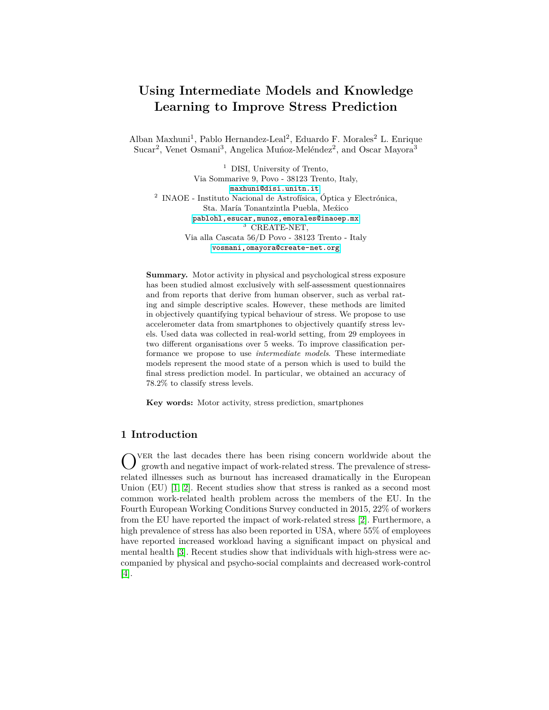# **Using Intermediate Models and Knowledge Learning to Improve Stress Prediction**

Alban Maxhuni<sup>1</sup>, Pablo Hernandez-Leal<sup>2</sup>, Eduardo F. Morales<sup>2</sup> L. Enrique Sucar<sup>2</sup>, Venet Osmani<sup>3</sup>, Angelica Muńoz-Meléndez<sup>2</sup>, and Oscar Mayora<sup>3</sup>

<sup>1</sup> DISI, University of Trento, Via Sommarive 9, Povo - 38123 Trento, Italy, <maxhuni@disi.unitn.it>, 2 INAOE - Instituto Nacional de Astrofísica, Óptica y Electrónica, Sta. María Tonantzintla Puebla, Mexico [pablohl,esucar,munoz,emorales@inaoep.mx](pablohl,esucar, munoz, emorales@inaoep.mx) <sup>3</sup> CREATE-NET, Via alla Cascata 56/D Povo - 38123 Trento - Italy <vosmani,omayora@create-net.org>

**Summary.** Motor activity in physical and psychological stress exposure has been studied almost exclusively with self-assessment questionnaires and from reports that derive from human observer, such as verbal rating and simple descriptive scales. However, these methods are limited in objectively quantifying typical behaviour of stress. We propose to use accelerometer data from smartphones to objectively quantify stress levels. Used data was collected in real-world setting, from 29 employees in two different organisations over 5 weeks. To improve classification performance we propose to use *intermediate models*. These intermediate models represent the mood state of a person which is used to build the final stress prediction model. In particular, we obtained an accuracy of 78.2% to classify stress levels.

**Key words:** Motor activity, stress prediction, smartphones

## **1 Introduction**

 $\bigodot$  ver the last decades there has been rising concern worldwide about the growth and negative impact of work-related stress. The prevalence of stressgrowth and negative impact of work-related stress. The prevalence of stressrelated illnesses such as burnout has increased dramatically in the European Union (EU) [\[1,](#page-10-0) [2\]](#page-10-1). Recent studies show that stress is ranked as a second most common work-related health problem across the members of the EU. In the Fourth European Working Conditions Survey conducted in 2015, 22% of workers from the EU have reported the impact of work-related stress [\[2\]](#page-10-1). Furthermore, a high prevalence of stress has also been reported in USA, where  $55\%$  of employees have reported increased workload having a significant impact on physical and mental health [\[3\]](#page-10-2). Recent studies show that individuals with high-stress were accompanied by physical and psycho-social complaints and decreased work-control [\[4\]](#page-10-3).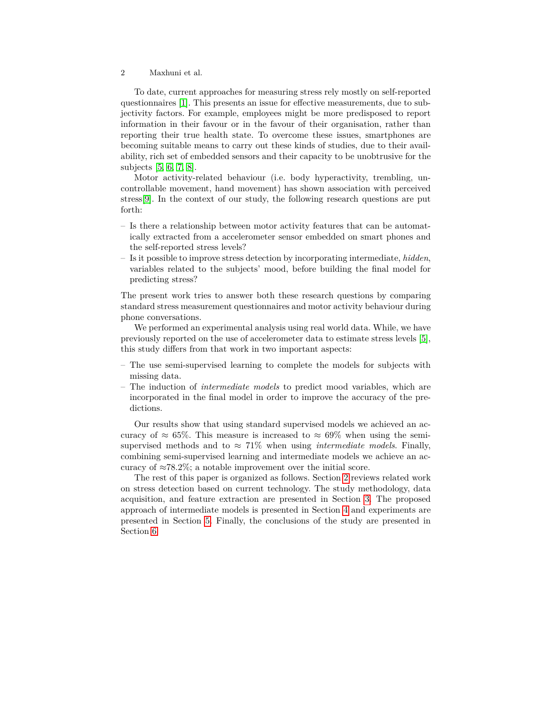To date, current approaches for measuring stress rely mostly on self-reported questionnaires [\[1\]](#page-10-0). This presents an issue for effective measurements, due to subjectivity factors. For example, employees might be more predisposed to report information in their favour or in the favour of their organisation, rather than reporting their true health state. To overcome these issues, smartphones are becoming suitable means to carry out these kinds of studies, due to their availability, rich set of embedded sensors and their capacity to be unobtrusive for the subjects [\[5,](#page-10-4) [6,](#page-10-5) [7,](#page-10-6) [8\]](#page-10-7).

Motor activity-related behaviour (i.e. body hyperactivity, trembling, uncontrollable movement, hand movement) has shown association with perceived stress[\[9\]](#page-10-8). In the context of our study, the following research questions are put forth:

- Is there a relationship between motor activity features that can be automatically extracted from a accelerometer sensor embedded on smart phones and the self-reported stress levels?
- Is it possible to improve stress detection by incorporating intermediate, *hidden*, variables related to the subjects' mood, before building the final model for predicting stress?

The present work tries to answer both these research questions by comparing standard stress measurement questionnaires and motor activity behaviour during phone conversations.

We performed an experimental analysis using real world data. While, we have previously reported on the use of accelerometer data to estimate stress levels [\[5\]](#page-10-4), this study differs from that work in two important aspects:

- The use semi-supervised learning to complete the models for subjects with missing data.
- The induction of *intermediate models* to predict mood variables, which are incorporated in the final model in order to improve the accuracy of the predictions.

Our results show that using standard supervised models we achieved an accuracy of  $\approx 65\%$ . This measure is increased to  $\approx 69\%$  when using the semisupervised methods and to  $\approx 71\%$  when using *intermediate models*. Finally, combining semi-supervised learning and intermediate models we achieve an accuracy of  $\approx 78.2\%$ ; a notable improvement over the initial score.

The rest of this paper is organized as follows. Section [2](#page-2-0) reviews related work on stress detection based on current technology. The study methodology, data acquisition, and feature extraction are presented in Section [3.](#page-4-0) The proposed approach of intermediate models is presented in Section [4](#page-5-0) and experiments are presented in Section [5.](#page-8-0) Finally, the conclusions of the study are presented in Section [6.](#page-8-1)

<sup>2</sup> Maxhuni et al.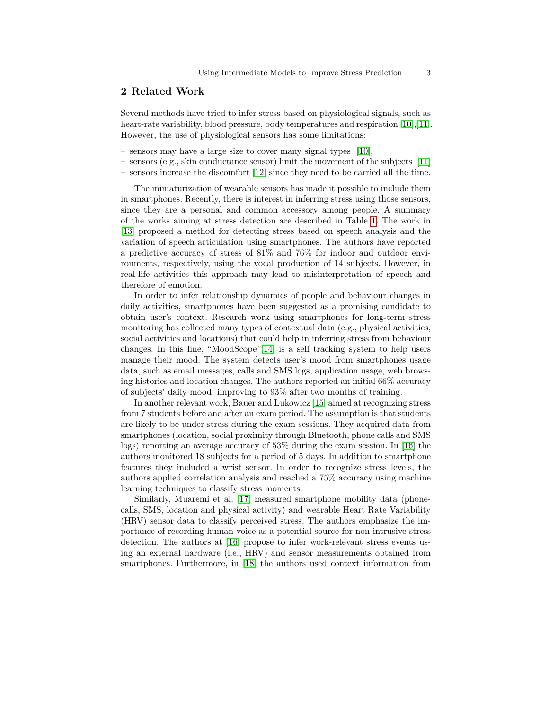## <span id="page-2-0"></span>**2 Related Work**

Several methods have tried to infer stress based on physiological signals, such as heart-rate variability, blood pressure, body temperatures and respiration [\[10\]](#page-10-9), [\[11\]](#page-10-10). However, the use of physiological sensors has some limitations:

- sensors may have a large size to cover many signal types [\[10\]](#page-10-9),
- sensors (e.g., skin conductance sensor) limit the movement of the subjects [\[11\]](#page-10-10)
- sensors increase the discomfort [\[12\]](#page-10-11) since they need to be carried all the time.

The miniaturization of wearable sensors has made it possible to include them in smartphones. Recently, there is interest in inferring stress using those sensors, since they are a personal and common accessory among people. A summary of the works aiming at stress detection are described in Table [1.](#page-3-0) The work in [\[13\]](#page-10-12) proposed a method for detecting stress based on speech analysis and the variation of speech articulation using smartphones. The authors have reported a predictive accuracy of stress of 81% and 76% for indoor and outdoor environments, respectively, using the vocal production of 14 subjects. However, in real-life activities this approach may lead to misinterpretation of speech and therefore of emotion.

In order to infer relationship dynamics of people and behaviour changes in daily activities, smartphones have been suggested as a promising candidate to obtain user's context. Research work using smartphones for long-term stress monitoring has collected many types of contextual data (e.g., physical activities, social activities and locations) that could help in inferring stress from behaviour changes. In this line, "MoodScope"[\[14\]](#page-10-13) is a self tracking system to help users manage their mood. The system detects user's mood from smartphones usage data, such as email messages, calls and SMS logs, application usage, web browsing histories and location changes. The authors reported an initial 66% accuracy of subjects' daily mood, improving to 93% after two months of training.

In another relevant work, Bauer and Lukowicz [\[15\]](#page-10-14) aimed at recognizing stress from 7 students before and after an exam period. The assumption is that students are likely to be under stress during the exam sessions. They acquired data from smartphones (location, social proximity through Bluetooth, phone calls and SMS logs) reporting an average accuracy of 53% during the exam session. In [\[16\]](#page-11-0) the authors monitored 18 subjects for a period of 5 days. In addition to smartphone features they included a wrist sensor. In order to recognize stress levels, the authors applied correlation analysis and reached a 75% accuracy using machine learning techniques to classify stress moments.

Similarly, Muaremi et al. [\[17\]](#page-11-1) measured smartphone mobility data (phonecalls, SMS, location and physical activity) and wearable Heart Rate Variability (HRV) sensor data to classify perceived stress. The authors emphasize the importance of recording human voice as a potential source for non-intrusive stress detection. The authors at [\[16\]](#page-11-0) propose to infer work-relevant stress events using an external hardware (i.e., HRV) and sensor measurements obtained from smartphones. Furthermore, in [\[18\]](#page-11-2) the authors used context information from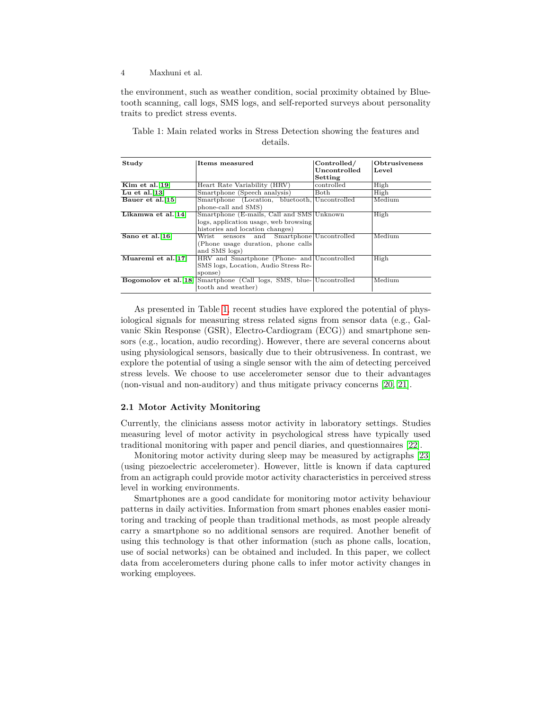the environment, such as weather condition, social proximity obtained by Bluetooth scanning, call logs, SMS logs, and self-reported surveys about personality traits to predict stress events.

| Study              | Items measured                                                                                                         | Controlled/<br>Uncontrolled<br>Setting | <b>Obtrusiveness</b><br>Level |
|--------------------|------------------------------------------------------------------------------------------------------------------------|----------------------------------------|-------------------------------|
| Kim et al. $[19]$  | Heart Rate Variability (HRV)                                                                                           | controlled                             | High                          |
| Lu et al. $[13]$   | Smartphone (Speech analysis)                                                                                           | Both                                   | High                          |
| Bauer et al.[15]   | Smartphone (Location, bluetooth, Uncontrolled<br>phone-call and SMS)                                                   |                                        | Medium                        |
| Likamwa et al.[14] | Smartphone (E-mails, Call and SMS Unknown)<br>logs, application usage, web browsing<br>histories and location changes) |                                        | High                          |
| Sano et al. $[16]$ | Wrist sensors and Smartphone Uncontrolled<br>(Phone usage duration, phone calls)<br>and SMS logs)                      |                                        | Medium                        |
| Muaremi et al.[17] | HRV and Smartphone (Phone- and Uncontrolled)<br>SMS logs, Location, Audio Stress Re-<br>sponse)                        |                                        | High                          |
|                    | <b>Bogomolov et al.</b> [18] Smartphone (Call logs, SMS, blue-Uncontrolled<br>tooth and weather)                       |                                        | Medium                        |

<span id="page-3-0"></span>Table 1: Main related works in Stress Detection showing the features and details.

As presented in Table [1,](#page-3-0) recent studies have explored the potential of physiological signals for measuring stress related signs from sensor data (e.g., Galvanic Skin Response (GSR), Electro-Cardiogram (ECG)) and smartphone sensors (e.g., location, audio recording). However, there are several concerns about using physiological sensors, basically due to their obtrusiveness. In contrast, we explore the potential of using a single sensor with the aim of detecting perceived stress levels. We choose to use accelerometer sensor due to their advantages (non-visual and non-auditory) and thus mitigate privacy concerns [\[20,](#page-11-4) [21\]](#page-11-5).

## **2.1 Motor Activity Monitoring**

Currently, the clinicians assess motor activity in laboratory settings. Studies measuring level of motor activity in psychological stress have typically used traditional monitoring with paper and pencil diaries, and questionnaires [\[22\]](#page-11-6).

Monitoring motor activity during sleep may be measured by actigraphs [\[23\]](#page-11-7) (using piezoelectric accelerometer). However, little is known if data captured from an actigraph could provide motor activity characteristics in perceived stress level in working environments.

Smartphones are a good candidate for monitoring motor activity behaviour patterns in daily activities. Information from smart phones enables easier monitoring and tracking of people than traditional methods, as most people already carry a smartphone so no additional sensors are required. Another benefit of using this technology is that other information (such as phone calls, location, use of social networks) can be obtained and included. In this paper, we collect data from accelerometers during phone calls to infer motor activity changes in working employees.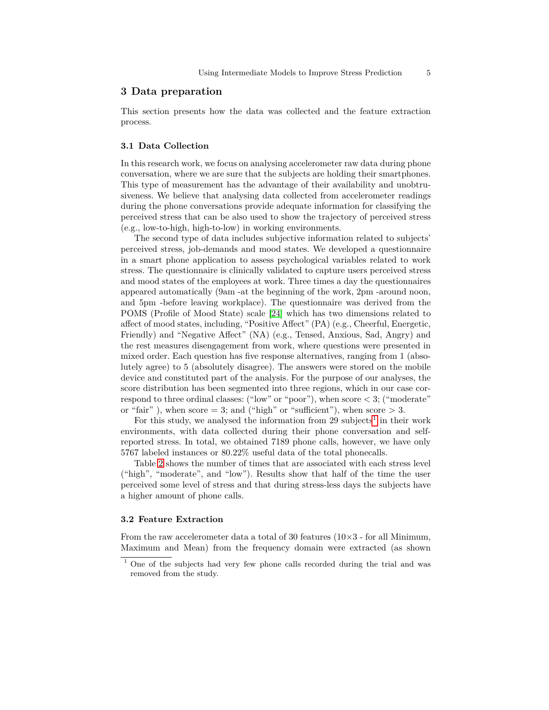#### <span id="page-4-0"></span>**3 Data preparation**

This section presents how the data was collected and the feature extraction process.

#### **3.1 Data Collection**

In this research work, we focus on analysing accelerometer raw data during phone conversation, where we are sure that the subjects are holding their smartphones. This type of measurement has the advantage of their availability and unobtrusiveness. We believe that analysing data collected from accelerometer readings during the phone conversations provide adequate information for classifying the perceived stress that can be also used to show the trajectory of perceived stress (e.g., low-to-high, high-to-low) in working environments.

The second type of data includes subjective information related to subjects' perceived stress, job-demands and mood states. We developed a questionnaire in a smart phone application to assess psychological variables related to work stress. The questionnaire is clinically validated to capture users perceived stress and mood states of the employees at work. Three times a day the questionnaires appeared automatically (9am -at the beginning of the work, 2pm -around noon, and 5pm -before leaving workplace). The questionnaire was derived from the POMS (Profile of Mood State) scale [\[24\]](#page-11-8) which has two dimensions related to affect of mood states, including, "Positive Affect" (PA) (e.g., Cheerful, Energetic, Friendly) and "Negative Affect" (NA) (e.g., Tensed, Anxious, Sad, Angry) and the rest measures disengagement from work, where questions were presented in mixed order. Each question has five response alternatives, ranging from 1 (absolutely agree) to 5 (absolutely disagree). The answers were stored on the mobile device and constituted part of the analysis. For the purpose of our analyses, the score distribution has been segmented into three regions, which in our case correspond to three ordinal classes: ("low" or "poor"), when  $score < 3$ ; ("moderate" or "fair"), when  $score = 3$ ; and ("high" or "sufficient"), when  $score > 3$ .

For this study, we analysed the information from 29 subjects<sup>[1](#page-4-1)</sup> in their work environments, with data collected during their phone conversation and selfreported stress. In total, we obtained 7189 phone calls, however, we have only 5767 labeled instances or 80.22% useful data of the total phonecalls.

Table [2](#page-5-1) shows the number of times that are associated with each stress level ("high", "moderate", and "low"). Results show that half of the time the user perceived some level of stress and that during stress-less days the subjects have a higher amount of phone calls.

#### **3.2 Feature Extraction**

From the raw accelerometer data a total of 30 features ( $10\times3$  - for all Minimum, Maximum and Mean) from the frequency domain were extracted (as shown

<span id="page-4-1"></span><sup>&</sup>lt;sup>1</sup> One of the subjects had very few phone calls recorded during the trial and was removed from the study.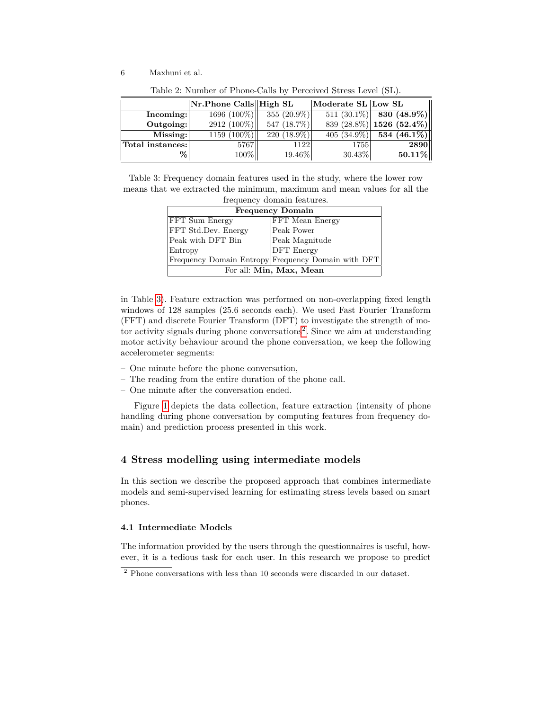|                  | Nr.Phone Calls High SL |                | Moderate SL Low SL |                 |
|------------------|------------------------|----------------|--------------------|-----------------|
| Incoming:        | 1696 $(100\%)$         | $355(20.9\%)$  | $511 (30.1\%)$     | 830 $(48.9\%)$  |
| Outgoing:        | $2912(100\%)$          | 547 $(18.7\%)$ | 839 (28.8%)        | $1526 (52.4\%)$ |
| Missing:         | $1159(100\%)$          | $220(18.9\%)$  | $405(34.9\%)$      | 534 $(46.1\%)$  |
| Total instances: | 5767                   | 1122           | 1755               | 2890            |
| %                | 100%                   | 19.46%         | $30.43\%$          | 50.11%          |

<span id="page-5-1"></span>Table 2: Number of Phone-Calls by Perceived Stress Level (SL).

Table 3: Frequency domain features used in the study, where the lower row means that we extracted the minimum, maximum and mean values for all the frequency domain features

<span id="page-5-2"></span>

| ncquency domain icatures.  |                                                    |  |  |  |
|----------------------------|----------------------------------------------------|--|--|--|
| <b>Frequency Domain</b>    |                                                    |  |  |  |
| <b>FFT</b> Sum Energy      | FFT Mean Energy                                    |  |  |  |
| <b>FFT Std.Dev. Energy</b> | Peak Power                                         |  |  |  |
| Peak with DFT Bin          | Peak Magnitude                                     |  |  |  |
| Entropy                    | <b>DFT</b> Energy                                  |  |  |  |
|                            | Frequency Domain Entropy Frequency Domain with DFT |  |  |  |
| For all: Min, Max, Mean    |                                                    |  |  |  |

in Table [3\)](#page-5-2). Feature extraction was performed on non-overlapping fixed length windows of 128 samples (25.6 seconds each). We used Fast Fourier Transform (FFT) and discrete Fourier Transform (DFT) to investigate the strength of mo-tor activity signals during phone conversations<sup>[2](#page-5-3)</sup>. Since we aim at understanding motor activity behaviour around the phone conversation, we keep the following accelerometer segments:

- One minute before the phone conversation,
- The reading from the entire duration of the phone call.
- One minute after the conversation ended.

Figure [1](#page-6-0) depicts the data collection, feature extraction (intensity of phone handling during phone conversation by computing features from frequency domain) and prediction process presented in this work.

## <span id="page-5-0"></span>**4 Stress modelling using intermediate models**

In this section we describe the proposed approach that combines intermediate models and semi-supervised learning for estimating stress levels based on smart phones.

## **4.1 Intermediate Models**

The information provided by the users through the questionnaires is useful, however, it is a tedious task for each user. In this research we propose to predict

<span id="page-5-3"></span><sup>&</sup>lt;sup>2</sup> Phone conversations with less than 10 seconds were discarded in our dataset.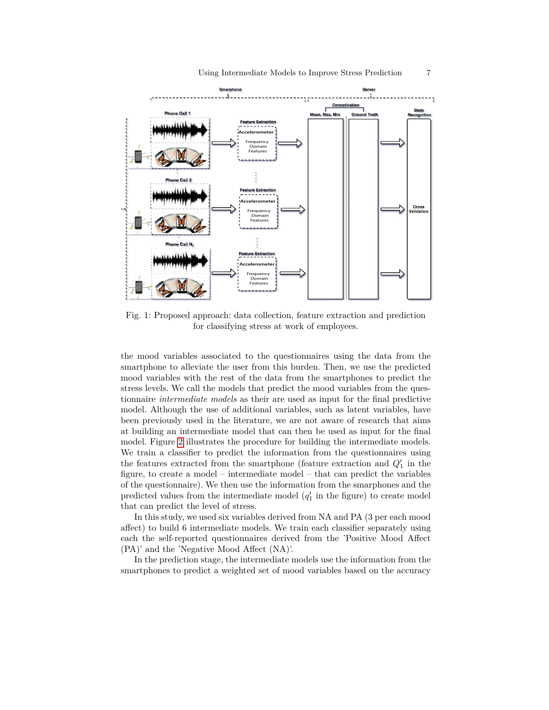

<span id="page-6-0"></span>Fig. 1: Proposed approach: data collection, feature extraction and prediction for classifying stress at work of employees.

the mood variables associated to the questionnaires using the data from the smartphone to alleviate the user from this burden. Then, we use the predicted mood variables with the rest of the data from the smartphones to predict the stress levels. We call the models that predict the mood variables from the questionnaire *intermediate models* as their are used as input for the final predictive model. Although the use of additional variables, such as latent variables, have been previously used in the literature, we are not aware of research that aims at building an intermediate model that can then be used as input for the final model. Figure [2](#page-7-0) illustrates the procedure for building the intermediate models. We train a classifier to predict the information from the questionnaires using the features extracted from the smartphone (feature extraction and  $Q'_1$  in the figure, to create a model – intermediate model – that can predict the variables of the questionnaire). We then use the information from the smarphones and the predicted values from the intermediate model  $(q'_1$  in the figure) to create model that can predict the level of stress.

In this study, we used six variables derived from NA and PA (3 per each mood affect) to build 6 intermediate models. We train each classifier separately using each the self-reported questionnaires derived from the 'Positive Mood Affect (PA)' and the 'Negative Mood Affect (NA)'.

In the prediction stage, the intermediate models use the information from the smartphones to predict a weighted set of mood variables based on the accuracy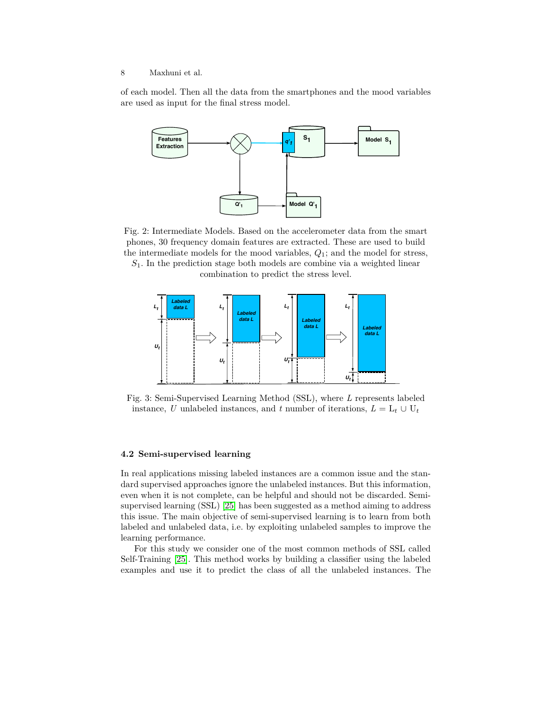of each model. Then all the data from the smartphones and the mood variables are used as input for the final stress model.



<span id="page-7-0"></span>Fig. 2: Intermediate Models. Based on the accelerometer data from the smart phones, 30 frequency domain features are extracted. These are used to build the intermediate models for the mood variables, *Q*1; and the model for stress,

*S*1. In the prediction stage both models are combine via a weighted linear combination to predict the stress level.



<span id="page-7-1"></span>Fig. 3: Semi-Supervised Learning Method (SSL), where *L* represents labeled instance, *U* unlabeled instances, and *t* number of iterations,  $L = L_t \cup U_t$ 

#### **4.2 Semi-supervised learning**

In real applications missing labeled instances are a common issue and the standard supervised approaches ignore the unlabeled instances. But this information, even when it is not complete, can be helpful and should not be discarded. Semisupervised learning (SSL) [\[25\]](#page-11-9) has been suggested as a method aiming to address this issue. The main objective of semi-supervised learning is to learn from both labeled and unlabeled data, i.e. by exploiting unlabeled samples to improve the learning performance.

For this study we consider one of the most common methods of SSL called Self-Training [\[25\]](#page-11-9). This method works by building a classifier using the labeled examples and use it to predict the class of all the unlabeled instances. The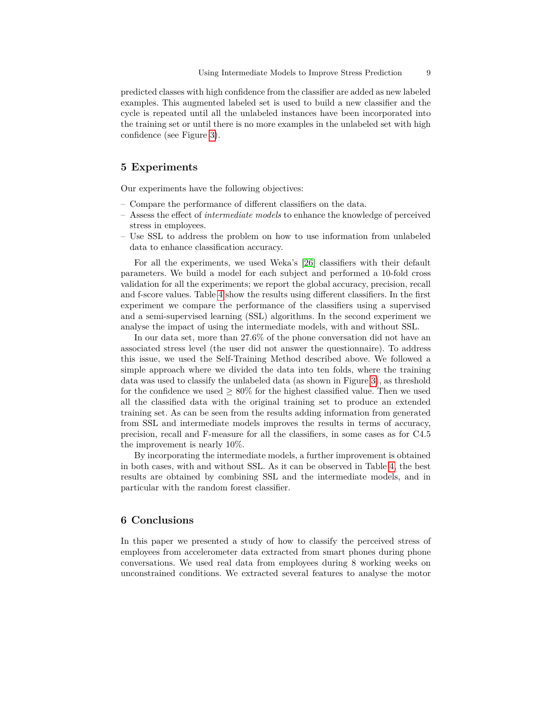predicted classes with high confidence from the classifier are added as new labeled examples. This augmented labeled set is used to build a new classifier and the cycle is repeated until all the unlabeled instances have been incorporated into the training set or until there is no more examples in the unlabeled set with high confidence (see Figure [3\)](#page-7-1).

# <span id="page-8-0"></span>**5 Experiments**

Our experiments have the following objectives:

- Compare the performance of different classifiers on the data.
- Assess the effect of *intermediate models* to enhance the knowledge of perceived stress in employees.
- Use SSL to address the problem on how to use information from unlabeled data to enhance classification accuracy.

For all the experiments, we used Weka's [\[26\]](#page-11-10) classifiers with their default parameters. We build a model for each subject and performed a 10-fold cross validation for all the experiments; we report the global accuracy, precision, recall and f-score values. Table [4](#page-9-0) show the results using different classifiers. In the first experiment we compare the performance of the classifiers using a supervised and a semi-supervised learning (SSL) algorithms. In the second experiment we analyse the impact of using the intermediate models, with and without SSL.

In our data set, more than 27.6% of the phone conversation did not have an associated stress level (the user did not answer the questionnaire). To address this issue, we used the Self-Training Method described above. We followed a simple approach where we divided the data into ten folds, where the training data was used to classify the unlabeled data (as shown in Figure [3\)](#page-7-1), as threshold for the confidence we used  $\geq 80\%$  for the highest classified value. Then we used all the classified data with the original training set to produce an extended training set. As can be seen from the results adding information from generated from SSL and intermediate models improves the results in terms of accuracy, precision, recall and F-measure for all the classifiers, in some cases as for C4.5 the improvement is nearly 10%.

By incorporating the intermediate models, a further improvement is obtained in both cases, with and without SSL. As it can be observed in Table [4,](#page-9-0) the best results are obtained by combining SSL and the intermediate models, and in particular with the random forest classifier.

## <span id="page-8-1"></span>**6 Conclusions**

In this paper we presented a study of how to classify the perceived stress of employees from accelerometer data extracted from smart phones during phone conversations. We used real data from employees during 8 working weeks on unconstrained conditions. We extracted several features to analyse the motor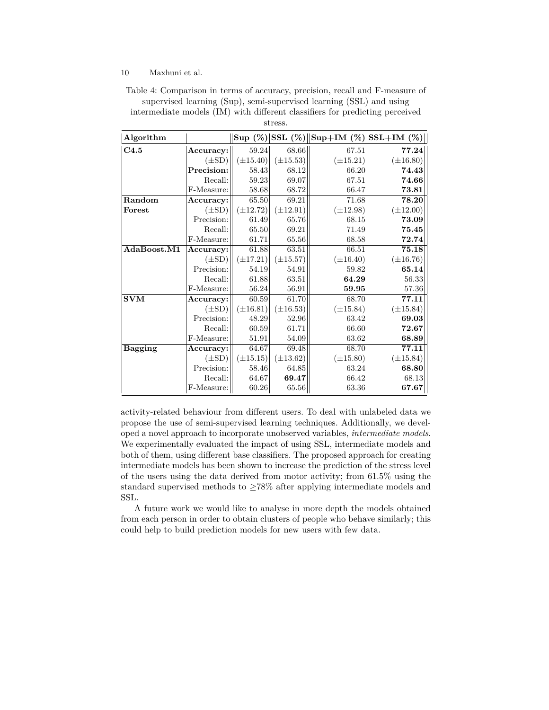<span id="page-9-0"></span>Table 4: Comparison in terms of accuracy, precision, recall and F-measure of supervised learning (Sup), semi-supervised learning (SSL) and using intermediate models (IM) with different classifiers for predicting perceived

| Algorithm        |            |               |               |               | $\text{Sup } (\%) \text{SSL } (\%) \text{Sup+IM } (\%) \text{SSL+IM } (\%)$ |  |
|------------------|------------|---------------|---------------|---------------|-----------------------------------------------------------------------------|--|
| $ {\bf C4.5}$    | Accuracy:  | 59.24         | 68.66         | 67.51         | 77.24                                                                       |  |
|                  | $(\pm SD)$ | $(\pm 15.40)$ | $(\pm 15.53)$ | $(\pm 15.21)$ | $(\pm 16.80)$                                                               |  |
|                  | Precision: | 58.43         | 68.12         | 66.20         | 74.43                                                                       |  |
|                  | Recall:    | $59.23\,$     | 69.07         | 67.51         | 74.66                                                                       |  |
|                  | F-Measure: | 58.68         | 68.72         | 66.47         | 73.81                                                                       |  |
| Random           | Accuracy:  | 65.50         | 69.21         | 71.68         | 78.20                                                                       |  |
| Forest           | $(\pm SD)$ | $(\pm 12.72)$ | $(\pm 12.91)$ | $(\pm 12.98)$ | $(\pm 12.00)$                                                               |  |
|                  | Precision: | 61.49         | 65.76         | 68.15         | 73.09                                                                       |  |
|                  | Recall:    | 65.50         | 69.21         | 71.49         | 75.45                                                                       |  |
|                  | F-Measure: | 61.71         | 65.56         | 68.58         | 72.74                                                                       |  |
| AdaBoost.M1      | Accuracy:  | 61.88         | 63.51         | 66.51         | 75.18                                                                       |  |
|                  | $(\pm SD)$ | $(\pm 17.21)$ | $(\pm 15.57)$ | $(\pm 16.40)$ | $(\pm 16.76)$                                                               |  |
|                  | Precision: | 54.19         | 54.91         | 59.82         | 65.14                                                                       |  |
|                  | Recall:    | 61.88         | 63.51         | 64.29         | $56.33\,$                                                                   |  |
|                  | F-Measure: | 56.24         | 56.91         | 59.95         | 57.36                                                                       |  |
| $ {\rm\bf SVM} $ | Accuracy:  | 60.59         | 61.70         | 68.70         | 77.11                                                                       |  |
|                  | $(\pm SD)$ | $(\pm 16.81)$ | $(\pm 16.53)$ | $(\pm 15.84)$ | $(\pm 15.84)$                                                               |  |
|                  | Precision: | 48.29         | 52.96         | 63.42         | 69.03                                                                       |  |
|                  | Recall:    | 60.59         | 61.71         | 66.60         | 72.67                                                                       |  |
|                  | F-Measure: | 51.91         | 54.09         | 63.62         | 68.89                                                                       |  |
| Bagging          | Accuracy:  | 64.67         | 69.48         | 68.70         | 77.11                                                                       |  |
|                  | $(\pm SD)$ | $(\pm 15.15)$ | $(\pm 13.62)$ | $(\pm 15.80)$ | $(\pm 15.84)$                                                               |  |
|                  | Precision: | 58.46         | 64.85         | 63.24         | 68.80                                                                       |  |
|                  | Recall:    | 64.67         | 69.47         | 66.42         | 68.13                                                                       |  |
|                  | F-Measure: | 60.26         | $65.56\,$     | $63.36\,$     | 67.67                                                                       |  |

stress.

activity-related behaviour from different users. To deal with unlabeled data we propose the use of semi-supervised learning techniques. Additionally, we developed a novel approach to incorporate unobserved variables, *intermediate models*. We experimentally evaluated the impact of using SSL, intermediate models and both of them, using different base classifiers. The proposed approach for creating intermediate models has been shown to increase the prediction of the stress level of the users using the data derived from motor activity; from 61.5% using the standard supervised methods to  $\geq 78\%$  after applying intermediate models and SSL.

A future work we would like to analyse in more depth the models obtained from each person in order to obtain clusters of people who behave similarly; this could help to build prediction models for new users with few data.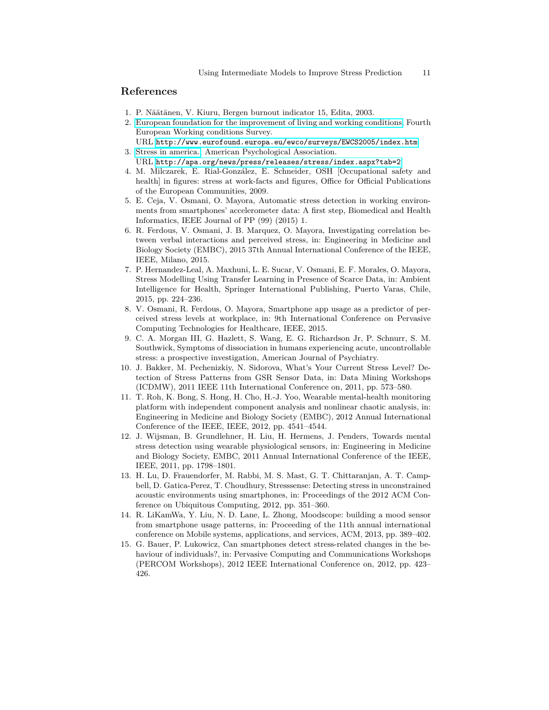## **References**

- <span id="page-10-0"></span>1. P. Näätänen, V. Kiuru, Bergen burnout indicator 15, Edita, 2003.
- <span id="page-10-1"></span>2. [European foundation for the improvement of living and working conditions,](http://www.eurofound.europa.eu/ewco/surveys/EWCS2005/index.htm) Fourth European Working conditions Survey. URL <http://www.eurofound.europa.eu/ewco/surveys/EWCS2005/index.htm>
- <span id="page-10-2"></span>3. [Stress in america.,](http://apa.org/news/press/releases/stress/index.aspx?tab=2) American Psychological Association. URL <http://apa.org/news/press/releases/stress/index.aspx?tab=2>
- <span id="page-10-3"></span>4. M. Milczarek, E. Rial-González, E. Schneider, OSH [Occupational safety and health] in figures: stress at work-facts and figures, Office for Official Publications of the European Communities, 2009.
- <span id="page-10-4"></span>5. E. Ceja, V. Osmani, O. Mayora, Automatic stress detection in working environments from smartphones' accelerometer data: A first step, Biomedical and Health Informatics, IEEE Journal of PP (99) (2015) 1.
- <span id="page-10-5"></span>6. R. Ferdous, V. Osmani, J. B. Marquez, O. Mayora, Investigating correlation between verbal interactions and perceived stress, in: Engineering in Medicine and Biology Society (EMBC), 2015 37th Annual International Conference of the IEEE, IEEE, Milano, 2015.
- <span id="page-10-6"></span>7. P. Hernandez-Leal, A. Maxhuni, L. E. Sucar, V. Osmani, E. F. Morales, O. Mayora, Stress Modelling Using Transfer Learning in Presence of Scarce Data, in: Ambient Intelligence for Health, Springer International Publishing, Puerto Varas, Chile, 2015, pp. 224–236.
- <span id="page-10-7"></span>8. V. Osmani, R. Ferdous, O. Mayora, Smartphone app usage as a predictor of perceived stress levels at workplace, in: 9th International Conference on Pervasive Computing Technologies for Healthcare, IEEE, 2015.
- <span id="page-10-8"></span>9. C. A. Morgan III, G. Hazlett, S. Wang, E. G. Richardson Jr, P. Schnurr, S. M. Southwick, Symptoms of dissociation in humans experiencing acute, uncontrollable stress: a prospective investigation, American Journal of Psychiatry.
- <span id="page-10-9"></span>10. J. Bakker, M. Pechenizkiy, N. Sidorova, What's Your Current Stress Level? Detection of Stress Patterns from GSR Sensor Data, in: Data Mining Workshops (ICDMW), 2011 IEEE 11th International Conference on, 2011, pp. 573–580.
- <span id="page-10-10"></span>11. T. Roh, K. Bong, S. Hong, H. Cho, H.-J. Yoo, Wearable mental-health monitoring platform with independent component analysis and nonlinear chaotic analysis, in: Engineering in Medicine and Biology Society (EMBC), 2012 Annual International Conference of the IEEE, IEEE, 2012, pp. 4541–4544.
- <span id="page-10-11"></span>12. J. Wijsman, B. Grundlehner, H. Liu, H. Hermens, J. Penders, Towards mental stress detection using wearable physiological sensors, in: Engineering in Medicine and Biology Society, EMBC, 2011 Annual International Conference of the IEEE, IEEE, 2011, pp. 1798–1801.
- <span id="page-10-12"></span>13. H. Lu, D. Frauendorfer, M. Rabbi, M. S. Mast, G. T. Chittaranjan, A. T. Campbell, D. Gatica-Perez, T. Choudhury, Stresssense: Detecting stress in unconstrained acoustic environments using smartphones, in: Proceedings of the 2012 ACM Conference on Ubiquitous Computing, 2012, pp. 351–360.
- <span id="page-10-13"></span>14. R. LiKamWa, Y. Liu, N. D. Lane, L. Zhong, Moodscope: building a mood sensor from smartphone usage patterns, in: Proceeding of the 11th annual international conference on Mobile systems, applications, and services, ACM, 2013, pp. 389–402.
- <span id="page-10-14"></span>15. G. Bauer, P. Lukowicz, Can smartphones detect stress-related changes in the behaviour of individuals?, in: Pervasive Computing and Communications Workshops (PERCOM Workshops), 2012 IEEE International Conference on, 2012, pp. 423– 426.